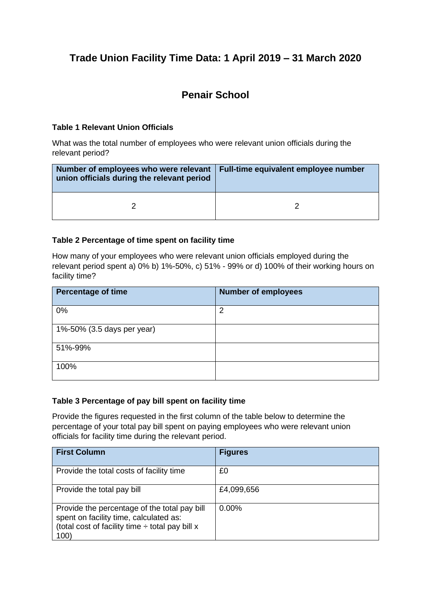# **Trade Union Facility Time Data: 1 April 2019 – 31 March 2020**

## **Penair School**

#### **Table 1 Relevant Union Officials**

What was the total number of employees who were relevant union officials during the relevant period?

| Number of employees who were relevant   Full-time equivalent employee number<br>union officials during the relevant period |  |
|----------------------------------------------------------------------------------------------------------------------------|--|
|                                                                                                                            |  |

#### **Table 2 Percentage of time spent on facility time**

How many of your employees who were relevant union officials employed during the relevant period spent a) 0% b) 1%-50%, c) 51% - 99% or d) 100% of their working hours on facility time?

| <b>Percentage of time</b>  | <b>Number of employees</b> |
|----------------------------|----------------------------|
| 0%                         | 2                          |
| 1%-50% (3.5 days per year) |                            |
| 51%-99%                    |                            |
| 100%                       |                            |

#### **Table 3 Percentage of pay bill spent on facility time**

Provide the figures requested in the first column of the table below to determine the percentage of your total pay bill spent on paying employees who were relevant union officials for facility time during the relevant period.

| <b>First Column</b>                                                                                                                                    | <b>Figures</b> |
|--------------------------------------------------------------------------------------------------------------------------------------------------------|----------------|
| Provide the total costs of facility time                                                                                                               | £0             |
| Provide the total pay bill                                                                                                                             | £4,099,656     |
| Provide the percentage of the total pay bill<br>spent on facility time, calculated as:<br>(total cost of facility time $\div$ total pay bill x<br>100) | $0.00\%$       |